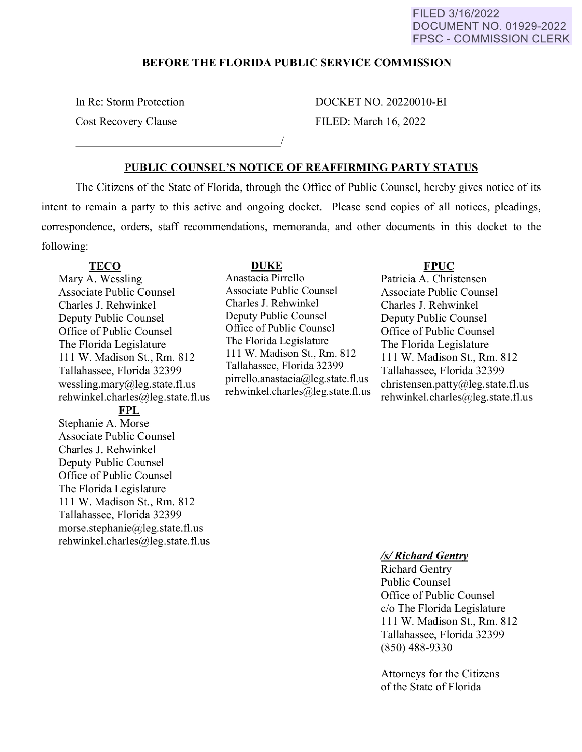# FILED 3/16/2022 DOCUMENT NO. 01929-2022 FPSC - COMMISSION CLERK

# **BEFORE THE FLORIDA PUBLIC SERVICE COMMISSION**

In Re: Storm Protection

Cost Recovery Clause \_\_\_\_\_\_\_\_\_\_\_\_\_\_\_\_ ./ DOCKET NO. 20220010-EI FILED: March 16, 2022

# **PUBLIC COUNSEL'S NOTICE OF REAFFIRMING PARTY STATUS**

The Citizens of the State of Florida, through the Office of Public Counsel, hereby gives notice of its intent to remain a party to this active and ongoing docket. Please send copies of all notices, pleadings, correspondence, orders, staff recommendations, memoranda, and other documents in this docket to the following:

# **TECO**

Mary A. Wessling Associate Public Counsel Charles J. Rehwinkel Deputy Public Counsel Office of Public Counsel The Florida Legislature 111 W. Madison St., Rm. 812 Tallahassee, Florida 32399 wessling.mary@leg.state.fl.us rehwinkel.charles@leg.state.fl.us

**FPL** 

Stephanie A. Morse Associate Public Counsel Charles J. Rehwinkel Deputy Public Counsel Office of Public Counsel The Florida Legislature 111 W. Madison St., Rm. 812 Tallahassee, Florida 32399 morse.stephanie@leg.state.fl.us rehwinkel.charles@leg.state.fl.us

#### **DUKE**

Anastacia Pirrello Associate Public Counsel Charles J. Rehwinkel Deputy Public Counsel Office of Public Counsel The Florida Legislature 111 W. Madison St., Rm. 812 Tallahassee, Florida 32399 pirrello.anastacia@leg.state.fl.us rehwinkel.charles@leg.state.fl.us

# **FPUC**

Patricia A. Christensen Associate Public Counsel Charles J. Rehwinkel Deputy Public Counsel Office of Public Counsel The Florida Legislature 111 W. Madison St., Rm. 812 Tallahassee, Florida 32399 christensen.patty@leg.state.fl.us rehwinkel.charles@leg.state.fl.us

## *Isl Richard Gentry*

Richard Gentry Public Counsel Office of Public Counsel c/o The Florida Legislature 111 W. Madison St., Rm. 812 Tallahassee, Florida 32399 (850) 488-9330

Attorneys for the Citizens of the State of Florida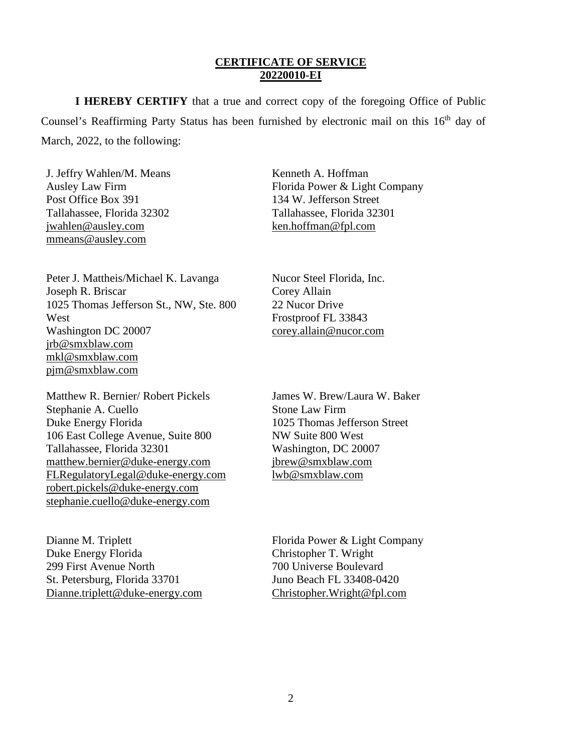# **CERTIFICATE OF SERVICE 20220010-EI**

**I HEREBY CERTIFY** that a true and correct copy of the foregoing Office of Public Counsel's Reaffirming Party Status has been furnished by electronic mail on this 16<sup>th</sup> day of March, 2022, to the following:

J. Jeffry Wahlen/M. Means Ausley Law Firm Post Office Box 391 Tallahassee, Florida 32302 [jwahlen@ausley.com](mailto:jwahlen@ausley.com) mmeans@ausley.com

Kenneth A. Hoffman Florida Power & Light Company 134 W. Jefferson Street Tallahassee, Florida 32301 [ken.hoffman@fpl.com](mailto:Ken.Hoffman@fpl.com)

Peter J. Mattheis/Michael K. Lavanga Joseph R. Briscar 1025 Thomas Jefferson St., NW, Ste. 800 West Washington DC 20007 jrb@smxblaw.com mkl@smxblaw.com pjm@smxblaw.com

Matthew R. Bernier/ Robert Pickels Stephanie A. Cuello Duke Energy Florida 106 East College Avenue, Suite 800 Tallahassee, Florida 32301 [matthew.bernier@duke-energy.com](mailto:matthew.bernier@duke-energy.com) [FLRegulatoryLegal@duke-energy.com](mailto:FLRegulatoryLegal@duke-energy.com)  [robert.pickels@duke-energy.com](mailto:robert.pickels@duke-energy.com)  [stephanie.cuello@duke-energy.com](mailto:stephanie.cuello@duke-energy.com) 

Dianne M. Triplett Duke Energy Florida 299 First Avenue North St. Petersburg, Florida 33701 [Dianne.triplett@duke-energy.com](mailto:Dianne.triplett@duke-energy.com)  Nucor Steel Florida, Inc. Corey Allain 22 Nucor Drive Frostproof FL 33843 [corey.allain@nucor.com](mailto:corey.allain@nucor.com)

James W. Brew/Laura W. Baker Stone Law Firm 1025 Thomas Jefferson Street NW Suite 800 West Washington, DC 20007 [jbrew@smxblaw.com](mailto:jbrew@smxblaw.com) [lwb@smxblaw.com](mailto:lwb@smxblaw.com) 

Florida Power & Light Company Christopher T. Wright 700 Universe Boulevard Juno Beach FL 33408-0420 [Christopher.Wright@fpl.com](mailto:Christopher.Wright@fpl.com)